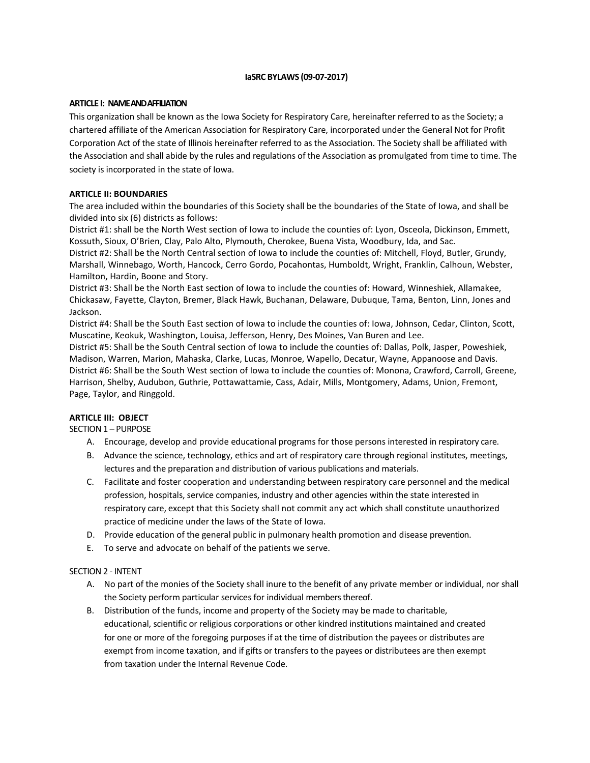# **IaSRC BYLAWS (09-07-2017)**

## **ARTICLE I: NAME AND AFFILIATION**

This organization shall be known as the Iowa Society for Respiratory Care, hereinafter referred to as the Society; a chartered affiliate of the American Association for Respiratory Care, incorporated under the General Not for Profit Corporation Act of the state of Illinois hereinafter referred to as the Association. The Society shall be affiliated with the Association and shall abide by the rules and regulations of the Association as promulgated from time to time. The society is incorporated in the state of Iowa.

## **ARTICLE II: BOUNDARIES**

The area included within the boundaries of this Society shall be the boundaries of the State of Iowa, and shall be divided into six (6) districts as follows:

District #1: shall be the North West section of Iowa to include the counties of: Lyon, Osceola, Dickinson, Emmett, Kossuth, Sioux, O'Brien, Clay, Palo Alto, Plymouth, Cherokee, Buena Vista, Woodbury, Ida, and Sac.

District #2: Shall be the North Central section of Iowa to include the counties of: Mitchell, Floyd, Butler, Grundy, Marshall, Winnebago, Worth, Hancock, Cerro Gordo, Pocahontas, Humboldt, Wright, Franklin, Calhoun, Webster, Hamilton, Hardin, Boone and Story.

District #3: Shall be the North East section of Iowa to include the counties of: Howard, Winneshiek, Allamakee, Chickasaw, Fayette, Clayton, Bremer, Black Hawk, Buchanan, Delaware, Dubuque, Tama, Benton, Linn, Jones and Jackson.

District #4: Shall be the South East section of Iowa to include the counties of: Iowa, Johnson, Cedar, Clinton, Scott, Muscatine, Keokuk, Washington, Louisa, Jefferson, Henry, Des Moines, Van Buren and Lee.

District #5: Shall be the South Central section of Iowa to include the counties of: Dallas, Polk, Jasper, Poweshiek, Madison, Warren, Marion, Mahaska, Clarke, Lucas, Monroe, Wapello, Decatur, Wayne, Appanoose and Davis. District #6: Shall be the South West section of Iowa to include the counties of: Monona, Crawford, Carroll, Greene, Harrison, Shelby, Audubon, Guthrie, Pottawattamie, Cass, Adair, Mills, Montgomery, Adams, Union, Fremont, Page, Taylor, and Ringgold.

### **ARTICLE III: OBJECT**

SECTION 1 – PURPOSE

- A. Encourage, develop and provide educational programs for those persons interested in respiratory care.
- B. Advance the science, technology, ethics and art of respiratory care through regional institutes, meetings, lectures and the preparation and distribution of various publications and materials.
- C. Facilitate and foster cooperation and understanding between respiratory care personnel and the medical profession, hospitals, service companies, industry and other agencies within the state interested in respiratory care, except that this Society shall not commit any act which shall constitute unauthorized practice of medicine under the laws of the State of Iowa.
- D. Provide education of the general public in pulmonary health promotion and disease prevention.
- E. To serve and advocate on behalf of the patients we serve.

### SECTION 2 - INTENT

- A. No part of the monies of the Society shall inure to the benefit of any private member or individual, nor shall the Society perform particular services for individual members thereof.
- B. Distribution of the funds, income and property of the Society may be made to charitable, educational, scientific or religious corporations or other kindred institutions maintained and created for one or more of the foregoing purposes if at the time of distribution the payees or distributes are exempt from income taxation, and if gifts or transfers to the payees or distributees are then exempt from taxation under the Internal Revenue Code.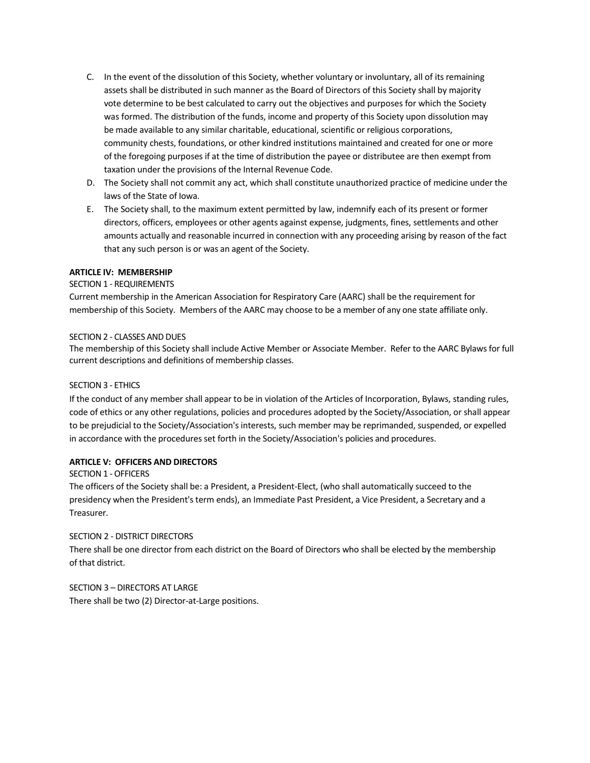- C. In the event of the dissolution of this Society, whether voluntary or involuntary, all of its remaining assets shall be distributed in such manner as the Board of Directors of this Society shall by majority vote determine to be best calculated to carry out the objectives and purposes for which the Society was formed. The distribution of the funds, income and property of this Society upon dissolution may be made available to any similar charitable, educational, scientific or religious corporations, community chests, foundations, or other kindred institutions maintained and created for one or more of the foregoing purposes if at the time of distribution the payee or distributee are then exempt from taxation under the provisions of the Internal Revenue Code.
- D. The Society shall not commit any act, which shall constitute unauthorized practice of medicine under the laws of the State of Iowa.
- E. The Society shall, to the maximum extent permitted by law, indemnify each of its present or former directors, officers, employees or other agents against expense, judgments, fines, settlements and other amounts actually and reasonable incurred in connection with any proceeding arising by reason of the fact that any such person is or was an agent of the Society.

# **ARTICLE IV: MEMBERSHIP**

# SECTION 1 - REQUIREMENTS

Current membership in the American Association for Respiratory Care (AARC) shall be the requirement for membership of this Society. Members of the AARC may choose to be a member of any one state affiliate only.

### SECTION 2 - CLASSES AND DUES

The membership of this Society shall include Active Member or Associate Member. Refer to the AARC Bylaws for full current descriptions and definitions of membership classes.

# SECTION 3 - ETHICS

If the conduct of any member shall appear to be in violation of the Articles of Incorporation, Bylaws, standing rules, code of ethics or any other regulations, policies and procedures adopted by the Society/Association, or shall appear to be prejudicial to the Society/Association's interests, such member may be reprimanded, suspended, or expelled in accordance with the procedures set forth in the Society/Association's policies and procedures.

### **ARTICLE V: OFFICERS AND DIRECTORS**

### SECTION 1 -OFFICERS

The officers of the Society shall be: a President, a President-Elect, (who shall automatically succeed to the presidency when the President's term ends), an Immediate Past President, a Vice President, a Secretary and a Treasurer.

### SECTION 2 - DISTRICT DIRECTORS

There shall be one director from each district on the Board of Directors who shall be elected by the membership of that district.

# SECTION 3 – DIRECTORS AT LARGE There shall be two (2) Director-at-Large positions.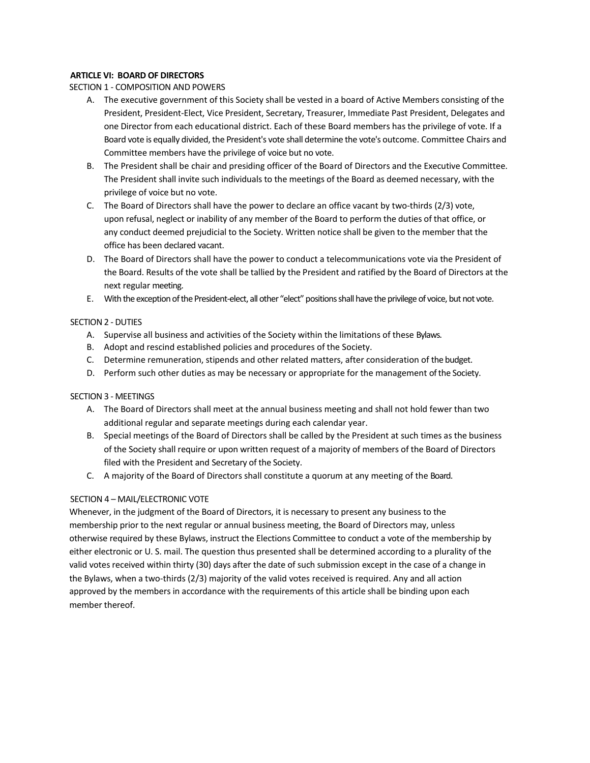# **ARTICLE VI: BOARD OF DIRECTORS**

## SECTION 1 - COMPOSITION AND POWERS

- A. The executive government of this Society shall be vested in a board of Active Members consisting of the President, President-Elect, Vice President, Secretary, Treasurer, Immediate Past President, Delegates and one Director from each educational district. Each of these Board members has the privilege of vote. If a Board vote is equally divided, the President's vote shall determine the vote's outcome. Committee Chairs and Committee members have the privilege of voice but no vote.
- B. The President shall be chair and presiding officer of the Board of Directors and the Executive Committee. The President shall invite such individuals to the meetings of the Board as deemed necessary, with the privilege of voice but no vote.
- C. The Board of Directors shall have the power to declare an office vacant by two-thirds (2/3) vote, upon refusal, neglect or inability of any member of the Board to perform the duties of that office, or any conduct deemed prejudicial to the Society. Written notice shall be given to the member that the office has been declared vacant.
- D. The Board of Directors shall have the power to conduct a telecommunications vote via the President of the Board. Results of the vote shall be tallied by the President and ratified by the Board of Directors at the next regular meeting.
- E. With the exception of the President-elect, all other "elect" positions shall have the privilege of voice, but not vote.

# SECTION 2 - DUTIES

- A. Supervise all business and activities of the Society within the limitations of these Bylaws.
- B. Adopt and rescind established policies and procedures of the Society.
- C. Determine remuneration, stipends and other related matters, after consideration of the budget.
- D. Perform such other duties as may be necessary or appropriate for the management of the Society.

## SECTION 3 - MEETINGS

- A. The Board of Directors shall meet at the annual business meeting and shall not hold fewer than two additional regular and separate meetings during each calendar year.
- B. Special meetings of the Board of Directors shall be called by the President at such times as the business of the Society shall require or upon written request of a majority of members of the Board of Directors filed with the President and Secretary of the Society.
- C. A majority of the Board of Directors shall constitute a quorum at any meeting of the Board.

# SECTION 4 – MAIL/ELECTRONIC VOTE

Whenever, in the judgment of the Board of Directors, it is necessary to present any business to the membership prior to the next regular or annual business meeting, the Board of Directors may, unless otherwise required by these Bylaws, instruct the Elections Committee to conduct a vote of the membership by either electronic or U. S. mail. The question thus presented shall be determined according to a plurality of the valid votes received within thirty (30) days after the date of such submission except in the case of a change in the Bylaws, when a two-thirds (2/3) majority of the valid votes received is required. Any and all action approved by the members in accordance with the requirements of this article shall be binding upon each member thereof.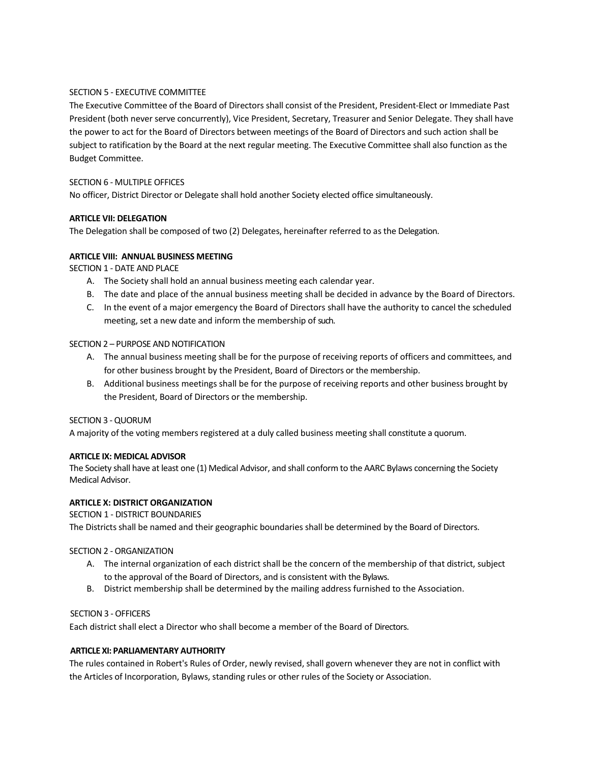# SECTION 5 - EXECUTIVE COMMITTEE

The Executive Committee of the Board of Directors shall consist of the President, President-Elect or Immediate Past President (both never serve concurrently), Vice President, Secretary, Treasurer and Senior Delegate. They shall have the power to act for the Board of Directors between meetings of the Board of Directors and such action shall be subject to ratification by the Board at the next regular meeting. The Executive Committee shall also function as the Budget Committee.

## SECTION 6 - MULTIPLE OFFICES

No officer, District Director or Delegate shall hold another Society elected office simultaneously.

# **ARTICLE VII: DELEGATION**

The Delegation shall be composed of two (2) Delegates, hereinafter referred to as the Delegation.

# **ARTICLE VIII: ANNUAL BUSINESS MEETING**

SECTION 1 - DATE AND PLACE

- A. The Society shall hold an annual business meeting each calendar year.
- B. The date and place of the annual business meeting shall be decided in advance by the Board of Directors.
- C. In the event of a major emergency the Board of Directors shall have the authority to cancel the scheduled meeting, set a new date and inform the membership of such.

### SECTION 2 – PURPOSE AND NOTIFICATION

- A. The annual business meeting shall be for the purpose of receiving reports of officers and committees, and for other business brought by the President, Board of Directors or the membership.
- B. Additional business meetings shall be for the purpose of receiving reports and other business brought by the President, Board of Directors or the membership.

### SECTION 3 - QUORUM

A majority of the voting members registered at a duly called business meeting shall constitute a quorum.

## **ARTICLE IX: MEDICAL ADVISOR**

The Society shall have at least one (1) Medical Advisor, and shall conform to the AARC Bylaws concerning the Society Medical Advisor.

# **ARTICLE X: DISTRICT ORGANIZATION**

SECTION 1 - DISTRICT BOUNDARIES

The Districts shall be named and their geographic boundaries shall be determined by the Board of Directors.

### SECTION 2 - ORGANIZATION

- A. The internal organization of each district shall be the concern of the membership of that district, subject to the approval of the Board of Directors, and is consistent with the Bylaws.
- B. District membership shall be determined by the mailing address furnished to the Association.

# SECTION 3 -OFFICERS

Each district shall elect a Director who shall become a member of the Board of Directors.

# **ARTICLE XI: PARLIAMENTARY AUTHORITY**

The rules contained in Robert's Rules of Order, newly revised, shall govern whenever they are not in conflict with the Articles of Incorporation, Bylaws, standing rules or other rules of the Society or Association.